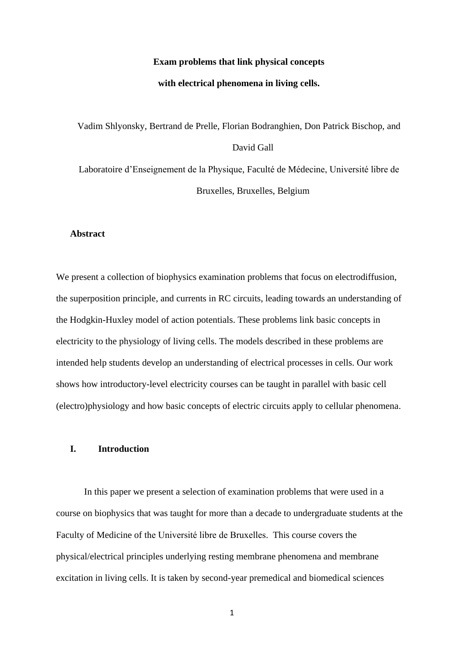### **Exam problems that link physical concepts**

#### **with electrical phenomena in living cells.**

Vadim Shlyonsky, Bertrand de Prelle, Florian Bodranghien, Don Patrick Bischop, and David Gall Laboratoire d'Enseignement de la Physique, Faculté de Médecine, Université libre de Bruxelles, Bruxelles, Belgium

## **Abstract**

We present a collection of biophysics examination problems that focus on electrodiffusion, the superposition principle, and currents in RC circuits, leading towards an understanding of the Hodgkin-Huxley model of action potentials. These problems link basic concepts in electricity to the physiology of living cells. The models described in these problems are intended help students develop an understanding of electrical processes in cells. Our work shows how introductory-level electricity courses can be taught in parallel with basic cell (electro)physiology and how basic concepts of electric circuits apply to cellular phenomena.

# **I. Introduction**

In this paper we present a selection of examination problems that were used in a course on biophysics that was taught for more than a decade to undergraduate students at the Faculty of Medicine of the Université libre de Bruxelles. This course covers the physical/electrical principles underlying resting membrane phenomena and membrane excitation in living cells. It is taken by second-year premedical and biomedical sciences

1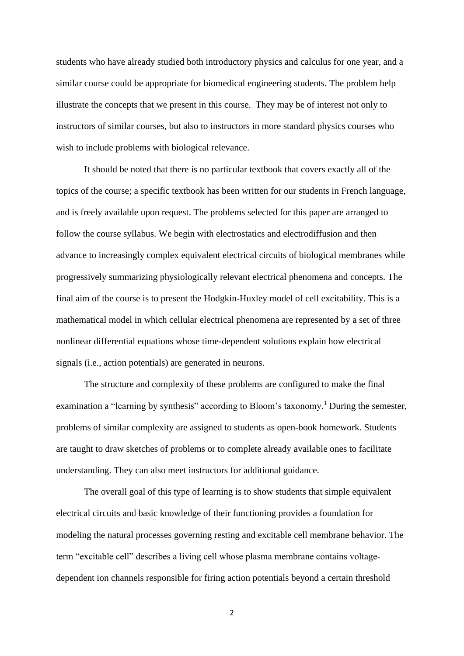students who have already studied both introductory physics and calculus for one year, and a similar course could be appropriate for biomedical engineering students. The problem help illustrate the concepts that we present in this course. They may be of interest not only to instructors of similar courses, but also to instructors in more standard physics courses who wish to include problems with biological relevance.

It should be noted that there is no particular textbook that covers exactly all of the topics of the course; a specific textbook has been written for our students in French language, and is freely available upon request. The problems selected for this paper are arranged to follow the course syllabus. We begin with electrostatics and electrodiffusion and then advance to increasingly complex equivalent electrical circuits of biological membranes while progressively summarizing physiologically relevant electrical phenomena and concepts. The final aim of the course is to present the Hodgkin-Huxley model of cell excitability. This is a mathematical model in which cellular electrical phenomena are represented by a set of three nonlinear differential equations whose time-dependent solutions explain how electrical signals (i.e., action potentials) are generated in neurons.

The structure and complexity of these problems are configured to make the final examination a "learning by synthesis" according to Bloom's taxonomy.<sup>1</sup> During the semester, problems of similar complexity are assigned to students as open-book homework. Students are taught to draw sketches of problems or to complete already available ones to facilitate understanding. They can also meet instructors for additional guidance.

The overall goal of this type of learning is to show students that simple equivalent electrical circuits and basic knowledge of their functioning provides a foundation for modeling the natural processes governing resting and excitable cell membrane behavior. The term "excitable cell" describes a living cell whose plasma membrane contains voltagedependent ion channels responsible for firing action potentials beyond a certain threshold

2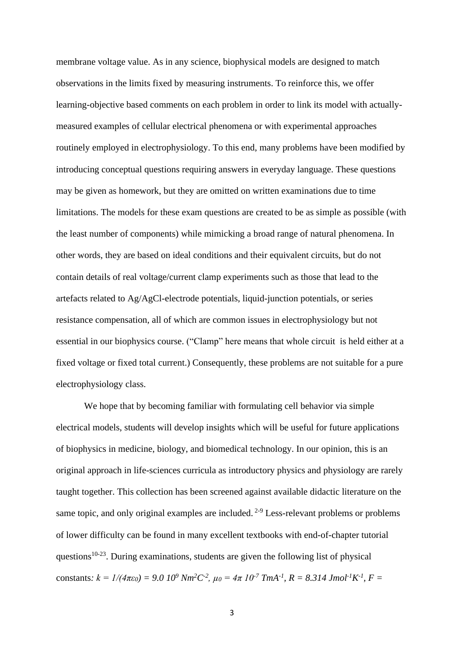membrane voltage value. As in any science, biophysical models are designed to match observations in the limits fixed by measuring instruments. To reinforce this, we offer learning-objective based comments on each problem in order to link its model with actuallymeasured examples of cellular electrical phenomena or with experimental approaches routinely employed in electrophysiology. To this end, many problems have been modified by introducing conceptual questions requiring answers in everyday language. These questions may be given as homework, but they are omitted on written examinations due to time limitations. The models for these exam questions are created to be as simple as possible (with the least number of components) while mimicking a broad range of natural phenomena. In other words, they are based on ideal conditions and their equivalent circuits, but do not contain details of real voltage/current clamp experiments such as those that lead to the artefacts related to Ag/AgCl-electrode potentials, liquid-junction potentials, or series resistance compensation, all of which are common issues in electrophysiology but not essential in our biophysics course. ("Clamp" here means that whole circuit is held either at a fixed voltage or fixed total current.) Consequently, these problems are not suitable for a pure electrophysiology class.

We hope that by becoming familiar with formulating cell behavior via simple electrical models, students will develop insights which will be useful for future applications of biophysics in medicine, biology, and biomedical technology. In our opinion, this is an original approach in life-sciences curricula as introductory physics and physiology are rarely taught together. This collection has been screened against available didactic literature on the same topic, and only original examples are included.  $2-9$  Less-relevant problems or problems of lower difficulty can be found in many excellent textbooks with end-of-chapter tutorial questions<sup>10-23</sup>. During examinations, students are given the following list of physical constants:  $k = l/(4\pi\epsilon_0) = 9.0 \; 10^9 \; Nm^2C^2$ ,  $\mu_0 = 4\pi \; 10^{-7} \; TmA^{-1}$ ,  $R = 8.314 \; Jmol^{-1}K^{-1}$ ,  $F =$ 

3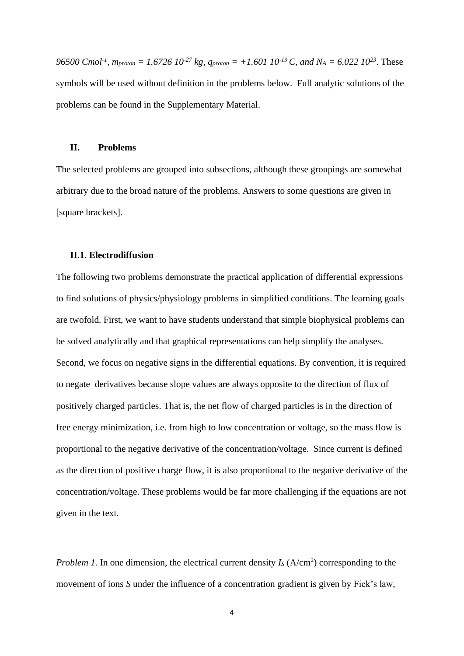*96500 Cmol<sup>-1</sup>*,  $m_{proton} = 1.6726 \, 10^{-27} \, kg$ ,  $q_{proton} = +1.601 \, 10^{-19} \, C$ , and  $N_A = 6.022 \, 10^{23}$ . These symbols will be used without definition in the problems below. Full analytic solutions of the problems can be found in the Supplementary Material.

#### **II. Problems**

The selected problems are grouped into subsections, although these groupings are somewhat arbitrary due to the broad nature of the problems. Answers to some questions are given in [square brackets].

# **II.1. Electrodiffusion**

The following two problems demonstrate the practical application of differential expressions to find solutions of physics/physiology problems in simplified conditions. The learning goals are twofold. First, we want to have students understand that simple biophysical problems can be solved analytically and that graphical representations can help simplify the analyses. Second, we focus on negative signs in the differential equations. By convention, it is required to negate derivatives because slope values are always opposite to the direction of flux of positively charged particles. That is, the net flow of charged particles is in the direction of free energy minimization, i.e. from high to low concentration or voltage, so the mass flow is proportional to the negative derivative of the concentration/voltage. Since current is defined as the direction of positive charge flow, it is also proportional to the negative derivative of the concentration/voltage. These problems would be far more challenging if the equations are not given in the text.

*Problem 1*. In one dimension, the electrical current density  $I_s(A/cm^2)$  corresponding to the movement of ions *S* under the influence of a concentration gradient is given by Fick's law,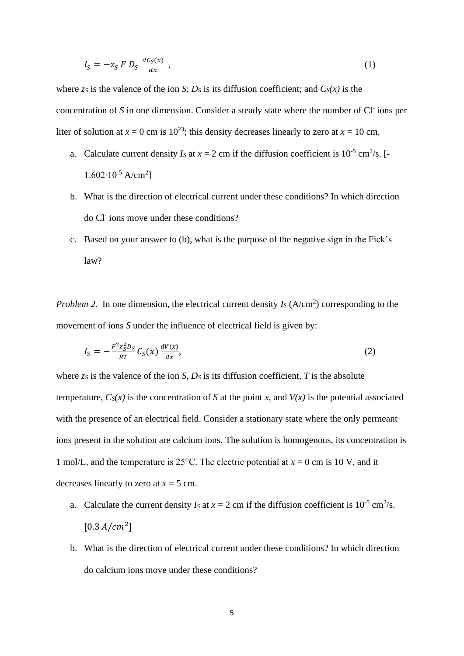$$
I_S = -z_S F D_S \frac{dC_S(x)}{dx} , \qquad (1)
$$

where  $z_s$  is the valence of the ion *S*; *D<sub>S</sub>* is its diffusion coefficient; and  $C_s(x)$  is the concentration of S in one dimension. Consider a steady state where the number of Cl<sup>-</sup> ions per liter of solution at  $x = 0$  cm is  $10^{23}$ ; this density decreases linearly to zero at  $x = 10$  cm.

- a. Calculate current density  $I_s$  at  $x = 2$  cm if the diffusion coefficient is  $10^{-5}$  cm<sup>2</sup>/s. [-1.602∙10-5 A/cm<sup>2</sup> ]
- b. What is the direction of electrical current under these conditions? In which direction do Cl<sup>-</sup> ions move under these conditions?
- c. Based on your answer to (b), what is the purpose of the negative sign in the Fick's law?

*Problem 2.* In one dimension, the electrical current density  $I_s(A/cm^2)$  corresponding to the movement of ions *S* under the influence of electrical field is given by:

$$
I_S = -\frac{F^2 z_S^2 D_S}{RT} C_S(x) \frac{dV(x)}{dx},\tag{2}
$$

where  $z_s$  is the valence of the ion *S*,  $D_s$  is its diffusion coefficient, *T* is the absolute temperature,  $C_S(x)$  is the concentration of *S* at the point *x*, and  $V(x)$  is the potential associated with the presence of an electrical field. Consider a stationary state where the only permeant ions present in the solution are calcium ions. The solution is homogenous, its concentration is 1 mol/L, and the temperature is 25 $\degree$ C. The electric potential at  $x = 0$  cm is 10 V, and it decreases linearly to zero at  $x = 5$  cm.

- a. Calculate the current density  $I_s$  at  $x = 2$  cm if the diffusion coefficient is  $10^{-5}$  cm<sup>2</sup>/s.  $[0.3 A/cm<sup>2</sup>]$
- b. What is the direction of electrical current under these conditions? In which direction do calcium ions move under these conditions?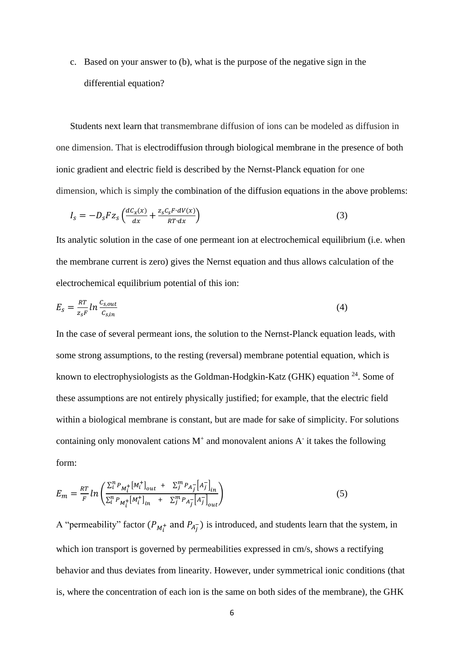c. Based on your answer to (b), what is the purpose of the negative sign in the differential equation?

Students next learn that transmembrane diffusion of ions can be modeled as diffusion in one dimension. That is electrodiffusion through biological membrane in the presence of both ionic gradient and electric field is described by the Nernst-Planck equation for one dimension, which is simply the combination of the diffusion equations in the above problems:

$$
I_{s} = -D_{s} F z_{s} \left( \frac{dC_{x}(x)}{dx} + \frac{z_{s} C_{s} F \cdot dV(x)}{RT \cdot dx} \right)
$$
(3)

Its analytic solution in the case of one permeant ion at electrochemical equilibrium (i.e. when the membrane current is zero) gives the Nernst equation and thus allows calculation of the electrochemical equilibrium potential of this ion:

$$
E_s = \frac{RT}{z_s F} \ln \frac{c_{s,out}}{c_{s,in}} \tag{4}
$$

In the case of several permeant ions, the solution to the Nernst-Planck equation leads, with some strong assumptions, to the resting (reversal) membrane potential equation, which is known to electrophysiologists as the Goldman-Hodgkin-Katz (GHK) equation <sup>24</sup>. Some of these assumptions are not entirely physically justified; for example, that the electric field within a biological membrane is constant, but are made for sake of simplicity. For solutions containing only monovalent cations  $M^+$  and monovalent anions  $A^-$  it takes the following form:

$$
E_m = \frac{RT}{F} ln \left( \frac{\sum_{i}^{n} P_{M_i^+} [M_i^+]_{out} + \sum_{j}^{m} P_{A_j^-} [A_j^-]_{in}}{\sum_{i}^{n} P_{M_i^+} [M_i^+]_{in} + \sum_{j}^{m} P_{A_j^-} [A_j^-]_{out}} \right)
$$
(5)

A "permeability" factor  $(P_{M_t^+}$  and  $P_{A_j^-}$ ) is introduced, and students learn that the system, in which ion transport is governed by permeabilities expressed in cm/s, shows a rectifying behavior and thus deviates from linearity. However, under symmetrical ionic conditions (that is, where the concentration of each ion is the same on both sides of the membrane), the GHK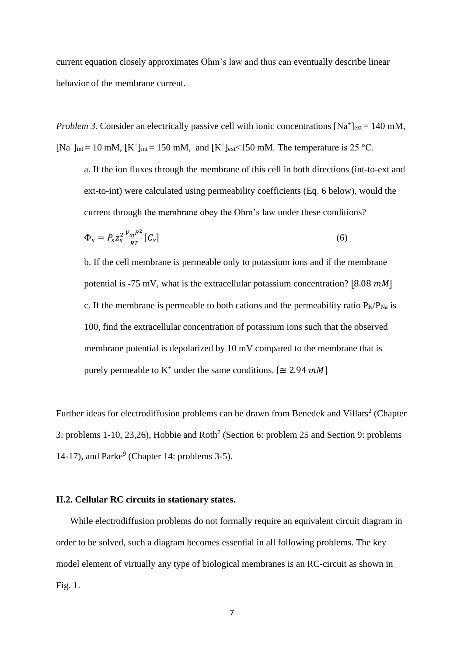current equation closely approximates Ohm's law and thus can eventually describe linear behavior of the membrane current.

*Problem 3.* Consider an electrically passive cell with ionic concentrations  $[Na^+]_{ext} = 140$  mM, [Na<sup>+</sup>]<sub>int</sub> = 10 mM, [K<sup>+</sup>]<sub>int</sub> = 150 mM, and [K<sup>+</sup>]<sub>ext</sub> < 150 mM. The temperature is 25 °C.

a. If the ion fluxes through the membrane of this cell in both directions (int-to-ext and ext-to-int) were calculated using permeability coefficients (Eq. 6 below), would the current through the membrane obey the Ohm's law under these conditions?

$$
\Phi_s = P_s z_s^2 \frac{V_m F^2}{RT} \left[ C_s \right] \tag{6}
$$

b. If the cell membrane is permeable only to potassium ions and if the membrane potential is -75 mV, what is the extracellular potassium concentration? [8.08  $mM$ ] c. If the membrane is permeable to both cations and the permeability ratio  $P_K/P_{Na}$  is 100, find the extracellular concentration of potassium ions such that the observed membrane potential is depolarized by 10 mV compared to the membrane that is purely permeable to  $K^+$  under the same conditions. [ $\cong$  2.94 mM]

Further ideas for electrodiffusion problems can be drawn from Benedek and Villars<sup>2</sup> (Chapter 3: problems 1-10, 23,26), Hobbie and Roth<sup>7</sup> (Section 6: problem 25 and Section 9: problems 14-17), and Parke $9$  (Chapter 14: problems 3-5).

### **II.2. Cellular RC circuits in stationary states.**

While electrodiffusion problems do not formally require an equivalent circuit diagram in order to be solved, such a diagram becomes essential in all following problems. The key model element of virtually any type of biological membranes is an RC-circuit as shown in Fig. 1.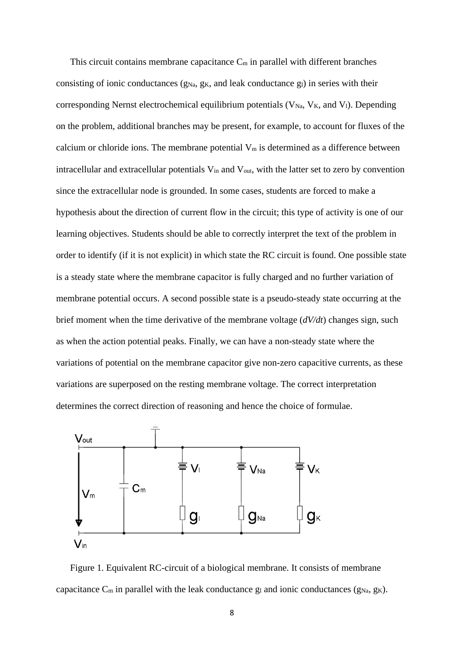This circuit contains membrane capacitance  $C_m$  in parallel with different branches consisting of ionic conductances ( $g_{Na}$ ,  $g_K$ , and leak conductance  $g_l$ ) in series with their corresponding Nernst electrochemical equilibrium potentials  $(V_{Na}, V_{K},$  and  $V_{1}$ ). Depending on the problem, additional branches may be present, for example, to account for fluxes of the calcium or chloride ions. The membrane potential  $V_m$  is determined as a difference between intracellular and extracellular potentials V<sub>in</sub> and V<sub>out</sub>, with the latter set to zero by convention since the extracellular node is grounded. In some cases, students are forced to make a hypothesis about the direction of current flow in the circuit; this type of activity is one of our learning objectives. Students should be able to correctly interpret the text of the problem in order to identify (if it is not explicit) in which state the RC circuit is found. One possible state is a steady state where the membrane capacitor is fully charged and no further variation of membrane potential occurs. A second possible state is a pseudo-steady state occurring at the brief moment when the time derivative of the membrane voltage (*dV/dt*) changes sign, such as when the action potential peaks. Finally, we can have a non-steady state where the variations of potential on the membrane capacitor give non-zero capacitive currents, as these variations are superposed on the resting membrane voltage. The correct interpretation determines the correct direction of reasoning and hence the choice of formulae.



Figure 1. Equivalent RC-circuit of a biological membrane. It consists of membrane capacitance  $C_m$  in parallel with the leak conductance  $g_l$  and ionic conductances  $(g_{Na}, g_K)$ .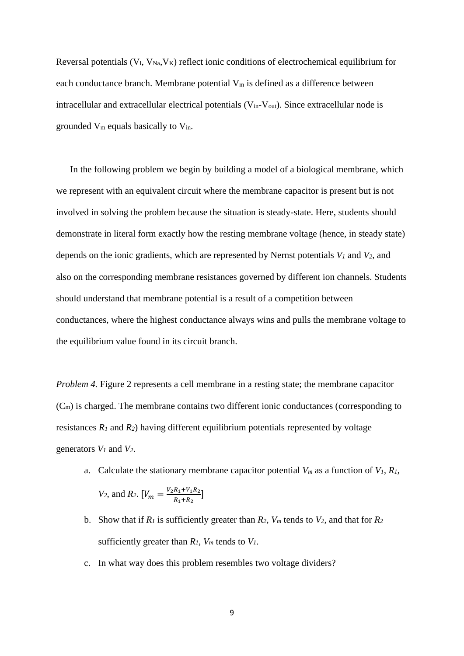Reversal potentials  $(V_l, V_{Na}, V_K)$  reflect ionic conditions of electrochemical equilibrium for each conductance branch. Membrane potential  $V_m$  is defined as a difference between intracellular and extracellular electrical potentials  $(V_{in}-V_{out})$ . Since extracellular node is grounded V<sup>m</sup> equals basically to Vin.

In the following problem we begin by building a model of a biological membrane, which we represent with an equivalent circuit where the membrane capacitor is present but is not involved in solving the problem because the situation is steady-state. Here, students should demonstrate in literal form exactly how the resting membrane voltage (hence, in steady state) depends on the ionic gradients, which are represented by Nernst potentials *V<sup>1</sup>* and *V2*, and also on the corresponding membrane resistances governed by different ion channels. Students should understand that membrane potential is a result of a competition between conductances, where the highest conductance always wins and pulls the membrane voltage to the equilibrium value found in its circuit branch.

*Problem 4.* Figure 2 represents a cell membrane in a resting state; the membrane capacitor (Cm) is charged. The membrane contains two different ionic conductances (corresponding to resistances  $R_1$  and  $R_2$ ) having different equilibrium potentials represented by voltage generators *V<sup>1</sup>* and *V2*.

a. Calculate the stationary membrane capacitor potential *V<sup>m</sup>* as a function of *V1, R1,* 

$$
V_2
$$
, and  $R_2$ .  $[V_m = \frac{V_2 R_1 + V_1 R_2}{R_1 + R_2}]$ 

- b. Show that if  $R_1$  is sufficiently greater than  $R_2$ ,  $V_m$  tends to  $V_2$ , and that for  $R_2$ sufficiently greater than  $R_I$ ,  $V_m$  tends to  $V_I$ .
- c. In what way does this problem resembles two voltage dividers?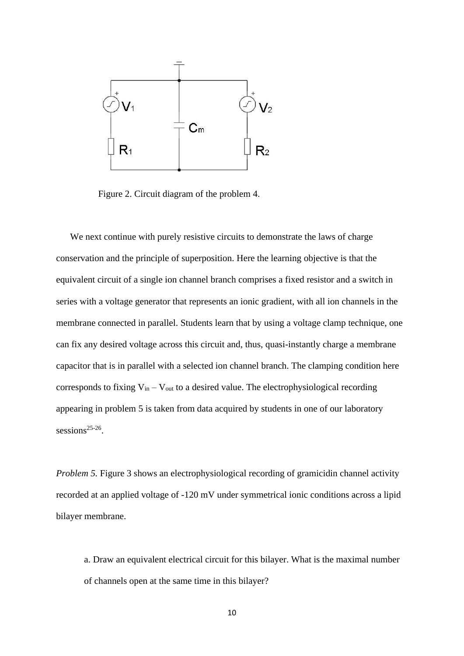

Figure 2. Circuit diagram of the problem 4.

We next continue with purely resistive circuits to demonstrate the laws of charge conservation and the principle of superposition. Here the learning objective is that the equivalent circuit of a single ion channel branch comprises a fixed resistor and a switch in series with a voltage generator that represents an ionic gradient, with all ion channels in the membrane connected in parallel. Students learn that by using a voltage clamp technique, one can fix any desired voltage across this circuit and, thus, quasi-instantly charge a membrane capacitor that is in parallel with a selected ion channel branch. The clamping condition here corresponds to fixing  $V_{in} - V_{out}$  to a desired value. The electrophysiological recording appearing in problem 5 is taken from data acquired by students in one of our laboratory sessions<sup>25-26</sup>.

*Problem 5.* Figure 3 shows an electrophysiological recording of gramicidin channel activity recorded at an applied voltage of -120 mV under symmetrical ionic conditions across a lipid bilayer membrane.

a. Draw an equivalent electrical circuit for this bilayer. What is the maximal number of channels open at the same time in this bilayer?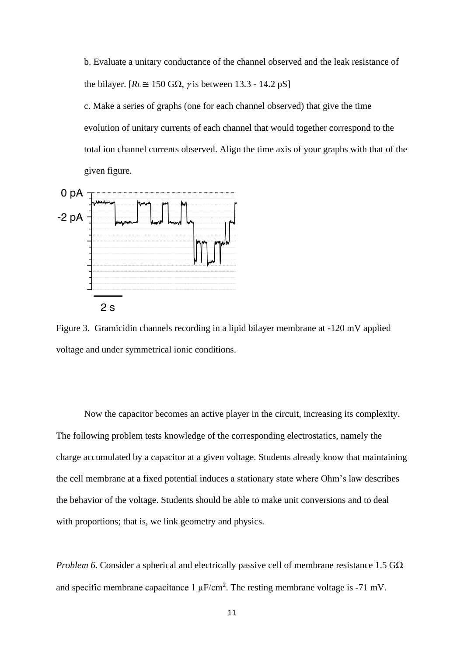b. Evaluate a unitary conductance of the channel observed and the leak resistance of the bilayer.  $[R_L \cong 150 \text{ G}\Omega, \gamma]$  is between 13.3 - 14.2 pS

c. Make a series of graphs (one for each channel observed) that give the time evolution of unitary currents of each channel that would together correspond to the total ion channel currents observed. Align the time axis of your graphs with that of the given figure.



Figure 3. Gramicidin channels recording in a lipid bilayer membrane at -120 mV applied voltage and under symmetrical ionic conditions.

Now the capacitor becomes an active player in the circuit, increasing its complexity. The following problem tests knowledge of the corresponding electrostatics, namely the charge accumulated by a capacitor at a given voltage. Students already know that maintaining the cell membrane at a fixed potential induces a stationary state where Ohm's law describes the behavior of the voltage. Students should be able to make unit conversions and to deal with proportions; that is, we link geometry and physics.

*Problem 6.* Consider a spherical and electrically passive cell of membrane resistance  $1.5 \text{ G}\Omega$ and specific membrane capacitance  $1 \mu$ F/cm<sup>2</sup>. The resting membrane voltage is -71 mV.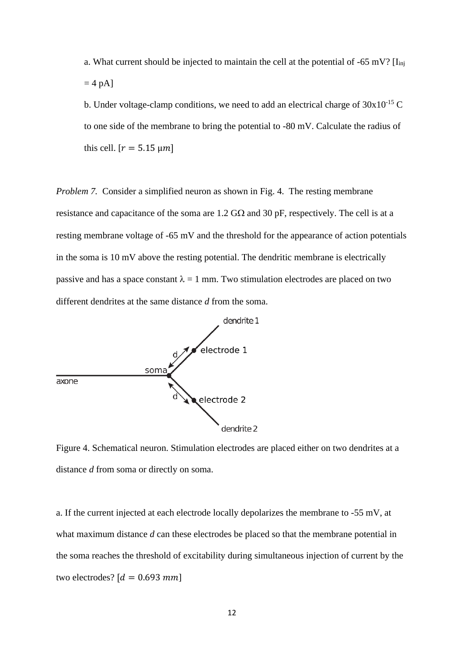- a. What current should be injected to maintain the cell at the potential of  $-65$  mV? [I<sub>inj</sub>]  $= 4$  pA]
- b. Under voltage-clamp conditions, we need to add an electrical charge of  $30x10^{-15}$  C to one side of the membrane to bring the potential to -80 mV. Calculate the radius of this cell.  $[r = 5.15 \,\mu m]$

*Problem 7.* Consider a simplified neuron as shown in Fig. 4. The resting membrane resistance and capacitance of the soma are  $1.2$  G $\Omega$  and 30 pF, respectively. The cell is at a resting membrane voltage of -65 mV and the threshold for the appearance of action potentials in the soma is 10 mV above the resting potential. The dendritic membrane is electrically passive and has a space constant  $\lambda = 1$  mm. Two stimulation electrodes are placed on two different dendrites at the same distance *d* from the soma.



Figure 4. Schematical neuron. Stimulation electrodes are placed either on two dendrites at a distance *d* from soma or directly on soma.

a. If the current injected at each electrode locally depolarizes the membrane to -55 mV, at what maximum distance *d* can these electrodes be placed so that the membrane potential in the soma reaches the threshold of excitability during simultaneous injection of current by the two electrodes?  $[d = 0.693$  mm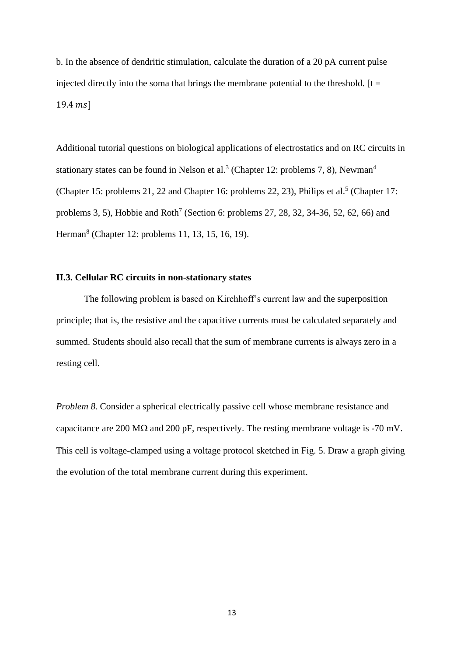b. In the absence of dendritic stimulation, calculate the duration of a 20 pA current pulse injected directly into the soma that brings the membrane potential to the threshold.  $[t =$  $19.4 \; ms$ ]

Additional tutorial questions on biological applications of electrostatics and on RC circuits in stationary states can be found in Nelson et al.<sup>3</sup> (Chapter 12: problems 7, 8), Newman<sup>4</sup> (Chapter 15: problems 21, 22 and Chapter 16: problems 22, 23), Philips et al.<sup>5</sup> (Chapter 17: problems 3, 5), Hobbie and Roth<sup>7</sup> (Section 6: problems 27, 28, 32, 34-36, 52, 62, 66) and Herman<sup>8</sup> (Chapter 12: problems 11, 13, 15, 16, 19).

# **II.3. Cellular RC circuits in non-stationary states**

The following problem is based on Kirchhoff's current law and the superposition principle; that is, the resistive and the capacitive currents must be calculated separately and summed. Students should also recall that the sum of membrane currents is always zero in a resting cell.

*Problem 8.* Consider a spherical electrically passive cell whose membrane resistance and capacitance are 200 M $\Omega$  and 200 pF, respectively. The resting membrane voltage is -70 mV. This cell is voltage-clamped using a voltage protocol sketched in Fig. 5. Draw a graph giving the evolution of the total membrane current during this experiment.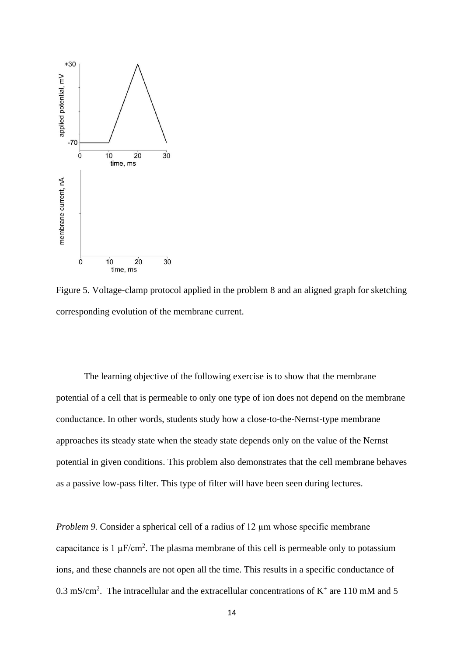

Figure 5. Voltage-clamp protocol applied in the problem 8 and an aligned graph for sketching corresponding evolution of the membrane current.

The learning objective of the following exercise is to show that the membrane potential of a cell that is permeable to only one type of ion does not depend on the membrane conductance. In other words, students study how a close-to-the-Nernst-type membrane approaches its steady state when the steady state depends only on the value of the Nernst potential in given conditions. This problem also demonstrates that the cell membrane behaves as a passive low-pass filter. This type of filter will have been seen during lectures.

*Problem 9.* Consider a spherical cell of a radius of 12  $\mu$ m whose specific membrane capacitance is  $1 \mu$ F/cm<sup>2</sup>. The plasma membrane of this cell is permeable only to potassium ions, and these channels are not open all the time. This results in a specific conductance of 0.3 mS/cm<sup>2</sup>. The intracellular and the extracellular concentrations of  $K^+$  are 110 mM and 5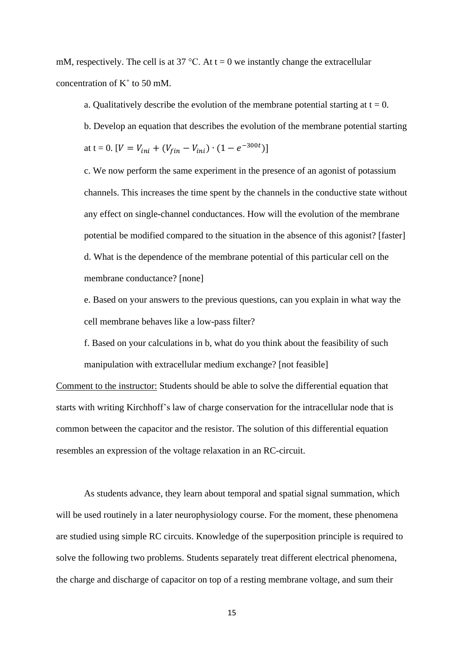mM, respectively. The cell is at 37 °C. At  $t = 0$  we instantly change the extracellular concentration of  $K^+$  to 50 mM.

a. Qualitatively describe the evolution of the membrane potential starting at  $t = 0$ . b. Develop an equation that describes the evolution of the membrane potential starting at t = 0.  $[V = V_{ini} + (V_{fin} - V_{ini}) \cdot (1 - e^{-300t})]$ 

c. We now perform the same experiment in the presence of an agonist of potassium channels. This increases the time spent by the channels in the conductive state without any effect on single-channel conductances. How will the evolution of the membrane potential be modified compared to the situation in the absence of this agonist? [faster] d. What is the dependence of the membrane potential of this particular cell on the membrane conductance? [none]

e. Based on your answers to the previous questions, can you explain in what way the cell membrane behaves like a low-pass filter?

f. Based on your calculations in b, what do you think about the feasibility of such manipulation with extracellular medium exchange? [not feasible]

Comment to the instructor: Students should be able to solve the differential equation that starts with writing Kirchhoff's law of charge conservation for the intracellular node that is common between the capacitor and the resistor. The solution of this differential equation resembles an expression of the voltage relaxation in an RC-circuit.

As students advance, they learn about temporal and spatial signal summation, which will be used routinely in a later neurophysiology course. For the moment, these phenomena are studied using simple RC circuits. Knowledge of the superposition principle is required to solve the following two problems. Students separately treat different electrical phenomena, the charge and discharge of capacitor on top of a resting membrane voltage, and sum their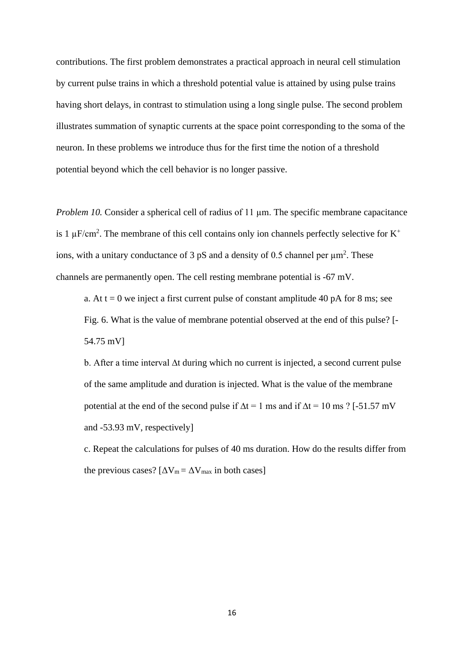contributions. The first problem demonstrates a practical approach in neural cell stimulation by current pulse trains in which a threshold potential value is attained by using pulse trains having short delays, in contrast to stimulation using a long single pulse. The second problem illustrates summation of synaptic currents at the space point corresponding to the soma of the neuron. In these problems we introduce thus for the first time the notion of a threshold potential beyond which the cell behavior is no longer passive.

*Problem 10.* Consider a spherical cell of radius of 11  $\mu$ m. The specific membrane capacitance is 1  $\mu$ F/cm<sup>2</sup>. The membrane of this cell contains only ion channels perfectly selective for K<sup>+</sup> ions, with a unitary conductance of 3  $pS$  and a density of 0.5 channel per  $\mu$ m<sup>2</sup>. These channels are permanently open. The cell resting membrane potential is -67 mV.

a. At  $t = 0$  we inject a first current pulse of constant amplitude 40 pA for 8 ms; see Fig. 6. What is the value of membrane potential observed at the end of this pulse? [- 54.75 mV]

b. After a time interval ∆t during which no current is injected, a second current pulse of the same amplitude and duration is injected. What is the value of the membrane potential at the end of the second pulse if  $\Delta t = 1$  ms and if  $\Delta t = 10$  ms ? [-51.57 mV and -53.93 mV, respectively]

c. Repeat the calculations for pulses of 40 ms duration. How do the results differ from the previous cases?  $[\Delta V_m = \Delta V_{max}$  in both cases]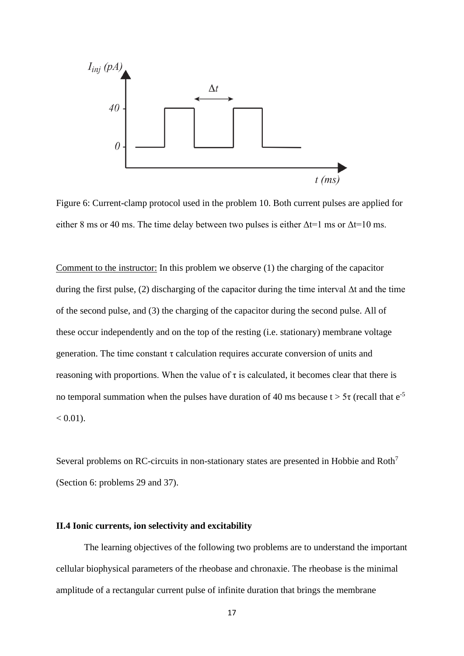

Figure 6: Current-clamp protocol used in the problem 10. Both current pulses are applied for either 8 ms or 40 ms. The time delay between two pulses is either  $\Delta t = 1$  ms or  $\Delta t = 10$  ms.

Comment to the instructor: In this problem we observe (1) the charging of the capacitor during the first pulse, (2) discharging of the capacitor during the time interval ∆t and the time of the second pulse, and (3) the charging of the capacitor during the second pulse. All of these occur independently and on the top of the resting (i.e. stationary) membrane voltage generation. The time constant  $\tau$  calculation requires accurate conversion of units and reasoning with proportions. When the value of  $\tau$  is calculated, it becomes clear that there is no temporal summation when the pulses have duration of 40 ms because  $t > 5\tau$  (recall that  $e^{-5}$  $< 0.01$ ).

Several problems on RC-circuits in non-stationary states are presented in Hobbie and Roth<sup>7</sup> (Section 6: problems 29 and 37).

# **II.4 Ionic currents, ion selectivity and excitability**

The learning objectives of the following two problems are to understand the important cellular biophysical parameters of the rheobase and chronaxie. The rheobase is the minimal amplitude of a rectangular current pulse of infinite duration that brings the membrane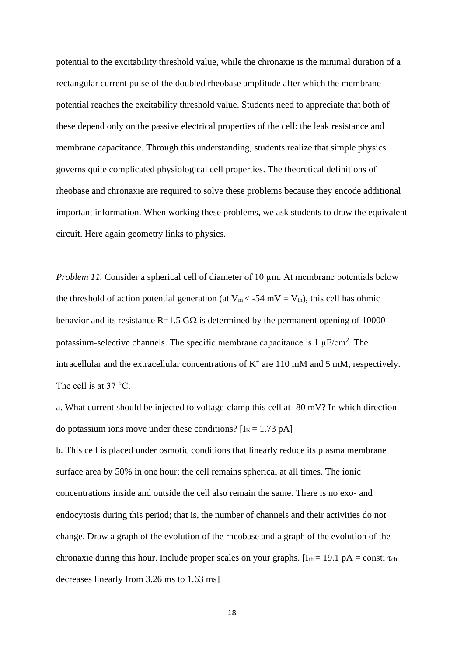potential to the excitability threshold value, while the chronaxie is the minimal duration of a rectangular current pulse of the doubled rheobase amplitude after which the membrane potential reaches the excitability threshold value. Students need to appreciate that both of these depend only on the passive electrical properties of the cell: the leak resistance and membrane capacitance. Through this understanding, students realize that simple physics governs quite complicated physiological cell properties. The theoretical definitions of rheobase and chronaxie are required to solve these problems because they encode additional important information. When working these problems, we ask students to draw the equivalent circuit. Here again geometry links to physics.

*Problem 11*. Consider a spherical cell of diameter of 10  $\mu$ m. At membrane potentials below the threshold of action potential generation (at  $V_m < -54$  mV =  $V_{th}$ ), this cell has ohmic behavior and its resistance  $R=1.5$  G $\Omega$  is determined by the permanent opening of 10000 potassium-selective channels. The specific membrane capacitance is  $1 \mu$ F/cm<sup>2</sup>. The intracellular and the extracellular concentrations of  $K^+$  are 110 mM and 5 mM, respectively. The cell is at 37 °C.

a. What current should be injected to voltage-clamp this cell at -80 mV? In which direction do potassium ions move under these conditions?  $[I<sub>K</sub> = 1.73 pA]$ 

b. This cell is placed under osmotic conditions that linearly reduce its plasma membrane surface area by 50% in one hour; the cell remains spherical at all times. The ionic concentrations inside and outside the cell also remain the same. There is no exo- and endocytosis during this period; that is, the number of channels and their activities do not change. Draw a graph of the evolution of the rheobase and a graph of the evolution of the chronaxie during this hour. Include proper scales on your graphs.  $[I_{rh} = 19.1 \text{ pA} = \text{const}; \tau_{ch}$ decreases linearly from 3.26 ms to 1.63 ms]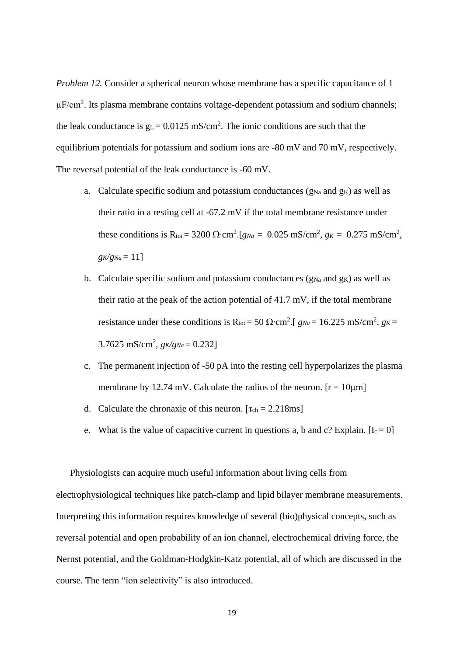*Problem 12.* Consider a spherical neuron whose membrane has a specific capacitance of 1  $\mu$ F/cm<sup>2</sup>. Its plasma membrane contains voltage-dependent potassium and sodium channels; the leak conductance is  $g_L = 0.0125$  mS/cm<sup>2</sup>. The ionic conditions are such that the equilibrium potentials for potassium and sodium ions are -80 mV and 70 mV, respectively. The reversal potential of the leak conductance is -60 mV.

- a. Calculate specific sodium and potassium conductances  $(g_{Na}$  and  $g_K)$  as well as their ratio in a resting cell at -67.2 mV if the total membrane resistance under these conditions is R<sub>tot</sub> = 3200 Ω·cm<sup>2</sup>.[*g<sub>Na</sub>* = 0.025 mS/cm<sup>2</sup>, *g<sub>K</sub>* = 0.275 mS/cm<sup>2</sup>,  $g_K/g_{Na} = 11$ ]
- b. Calculate specific sodium and potassium conductances  $(g_{Na}$  and  $g_K)$  as well as their ratio at the peak of the action potential of 41.7 mV, if the total membrane resistance under these conditions is  $R_{\text{tot}} = 50 \Omega \cdot \text{cm}^2$ . [  $g_{\text{Na}} = 16.225 \text{ mS/cm}^2$ ,  $g_K =$  $3.7625 \text{ mS/cm}^2$ ,  $g_K/g_{Na} = 0.232$
- c. The permanent injection of -50 pA into the resting cell hyperpolarizes the plasma membrane by 12.74 mV. Calculate the radius of the neuron.  $[r = 10 \mu m]$
- d. Calculate the chronaxie of this neuron.  $[\tau_{ch} = 2.218 \text{ms}]$
- e. What is the value of capacitive current in questions a, b and c? Explain.  $[I_c = 0]$

Physiologists can acquire much useful information about living cells from electrophysiological techniques like patch-clamp and lipid bilayer membrane measurements. Interpreting this information requires knowledge of several (bio)physical concepts, such as reversal potential and open probability of an ion channel, electrochemical driving force, the Nernst potential, and the Goldman-Hodgkin-Katz potential, all of which are discussed in the course. The term "ion selectivity" is also introduced.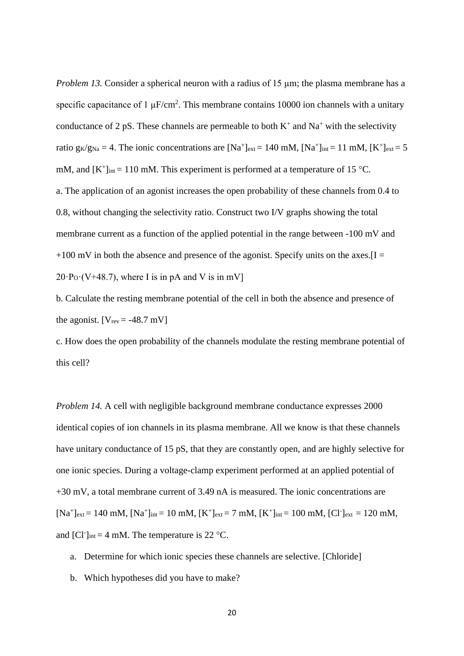*Problem 13.* Consider a spherical neuron with a radius of 15 µm; the plasma membrane has a specific capacitance of 1  $\mu$ F/cm<sup>2</sup>. This membrane contains 10000 ion channels with a unitary conductance of 2 pS. These channels are permeable to both  $K^+$  and  $Na^+$  with the selectivity ratio  $g_K/g_{Na} = 4$ . The ionic concentrations are  $[Na^+]_{ext} = 140$  mM,  $[Na^+]_{int} = 11$  mM,  $[K^+]_{ext} = 5$ mM, and  $[K^+]_{int} = 110$  mM. This experiment is performed at a temperature of 15 °C. a. The application of an agonist increases the open probability of these channels from 0.4 to 0.8, without changing the selectivity ratio. Construct two I/V graphs showing the total membrane current as a function of the applied potential in the range between -100 mV and  $+100$  mV in both the absence and presence of the agonist. Specify units on the axes.  $[I =$  $20\text{·}P_{\text{O}}\text{·}(V+48.7)$ , where I is in pA and V is in mV]

b. Calculate the resting membrane potential of the cell in both the absence and presence of the agonist.  $[V_{rev} = -48.7 \text{ mV}]$ 

c. How does the open probability of the channels modulate the resting membrane potential of this cell?

*Problem 14.* A cell with negligible background membrane conductance expresses 2000 identical copies of ion channels in its plasma membrane. All we know is that these channels have unitary conductance of 15 pS, that they are constantly open, and are highly selective for one ionic species. During a voltage-clamp experiment performed at an applied potential of +30 mV, a total membrane current of 3.49 nA is measured. The ionic concentrations are  $[Na^+]_{ext} = 140$  mM,  $[Na^+]_{int} = 10$  mM,  $[K^+]_{ext} = 7$  mM,  $[K^+]_{int} = 100$  mM,  $[C1]_{ext} = 120$  mM, and [Cl<sup>-</sup>]<sub>int</sub> = 4 mM. The temperature is 22 °C.

- a. Determine for which ionic species these channels are selective. [Chloride]
- b. Which hypotheses did you have to make?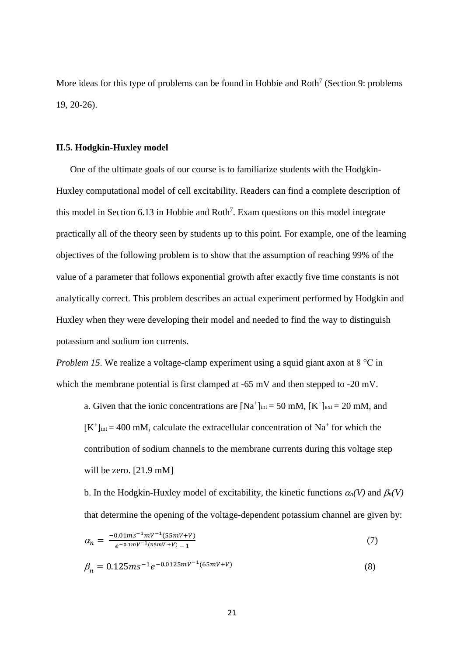More ideas for this type of problems can be found in Hobbie and Roth<sup>7</sup> (Section 9: problems 19, 20-26).

### **II.5. Hodgkin-Huxley model**

One of the ultimate goals of our course is to familiarize students with the Hodgkin-Huxley computational model of cell excitability. Readers can find a complete description of this model in Section  $6.13$  in Hobbie and Roth<sup>7</sup>. Exam questions on this model integrate practically all of the theory seen by students up to this point. For example, one of the learning objectives of the following problem is to show that the assumption of reaching 99% of the value of a parameter that follows exponential growth after exactly five time constants is not analytically correct. This problem describes an actual experiment performed by Hodgkin and Huxley when they were developing their model and needed to find the way to distinguish potassium and sodium ion currents.

*Problem 15.* We realize a voltage-clamp experiment using a squid giant axon at 8 °C in which the membrane potential is first clamped at -65 mV and then stepped to -20 mV.

a. Given that the ionic concentrations are  $[Na^+]_{int} = 50$  mM,  $[K^+]_{ext} = 20$  mM, and  $[K^+]_{int} = 400$  mM, calculate the extracellular concentration of Na<sup>+</sup> for which the contribution of sodium channels to the membrane currents during this voltage step will be zero. [21.9 mM]

b. In the Hodgkin-Huxley model of excitability, the kinetic functions  $\alpha_n(V)$  and  $\beta_n(V)$ that determine the opening of the voltage-dependent potassium channel are given by:

$$
\alpha_n = \frac{-0.01ms^{-1}mV^{-1}(55mV+V)}{e^{-0.1mV^{-1}(55mV+V)} - 1} \tag{7}
$$

$$
\beta_n = 0.125 m s^{-1} e^{-0.0125 mV^{-1}(65 mV + V)} \tag{8}
$$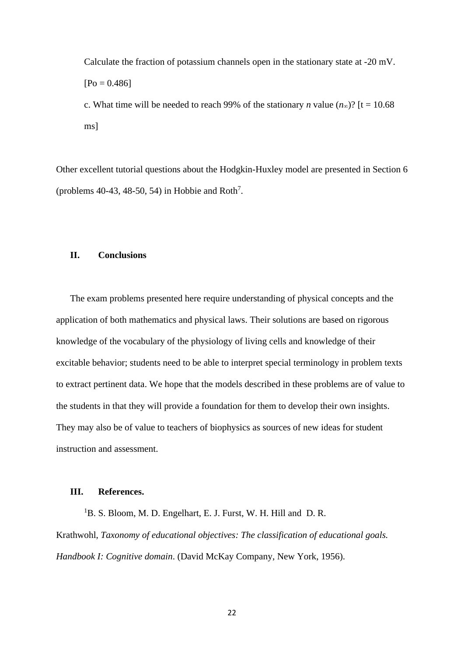Calculate the fraction of potassium channels open in the stationary state at -20 mV.  $[Po = 0.486]$ 

c. What time will be needed to reach 99% of the stationary *n* value  $(n_{\infty})$ ? [t = 10.68] ms]

Other excellent tutorial questions about the Hodgkin-Huxley model are presented in Section 6 (problems  $40-43$ ,  $48-50$ ,  $54$ ) in Hobbie and Roth<sup>7</sup>.

# **II. Conclusions**

The exam problems presented here require understanding of physical concepts and the application of both mathematics and physical laws. Their solutions are based on rigorous knowledge of the vocabulary of the physiology of living cells and knowledge of their excitable behavior; students need to be able to interpret special terminology in problem texts to extract pertinent data. We hope that the models described in these problems are of value to the students in that they will provide a foundation for them to develop their own insights. They may also be of value to teachers of biophysics as sources of new ideas for student instruction and assessment.

# **III. References.**

<sup>1</sup>B. S. Bloom, M. D. Engelhart, E. J. Furst, W. H. Hill and D. R. Krathwohl, *Taxonomy of educational objectives: The classification of educational goals. Handbook I: Cognitive domain*. (David McKay Company, New York, 1956).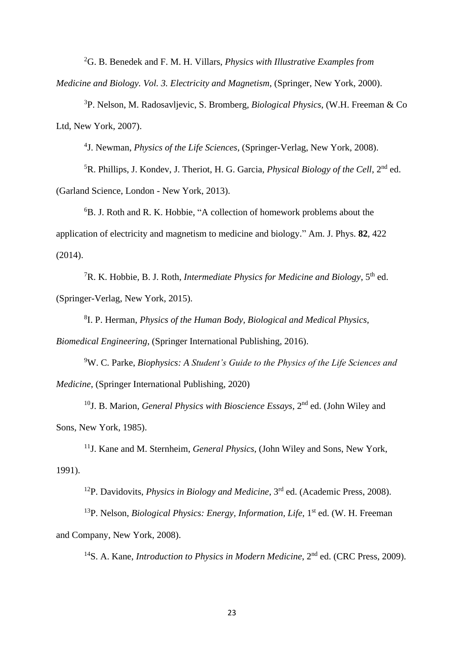<sup>2</sup>G. B. Benedek and F. M. H. Villars, *Physics with Illustrative Examples from* 

*Medicine and Biology. Vol. 3. Electricity and Magnetism*, (Springer, New York, 2000).

<sup>3</sup>P. Nelson, M. Radosavljevic, S. Bromberg, *Biological Physics*, (W.H. Freeman & Co Ltd, New York, 2007).

4 J. Newman, *Physics of the Life Sciences*, (Springer-Verlag, New York, 2008).

<sup>5</sup>R. Phillips, J. Kondev, J. Theriot, H. G. Garcia, *Physical Biology of the Cell*, 2nd ed. (Garland Science, London - New York, 2013).

<sup>6</sup>B. J. Roth and R. K. Hobbie, "A collection of homework problems about the application of electricity and magnetism to medicine and biology." Am. J. Phys. **82**, 422 (2014).

<sup>7</sup>R. K. Hobbie, B. J. Roth, *Intermediate Physics for Medicine and Biology*, 5th ed. (Springer-Verlag, New York, 2015).

8 I. P. Herman, *Physics of the Human Body, Biological and Medical Physics,* 

*Biomedical Engineering*, (Springer International Publishing, 2016).

<sup>9</sup>W. C. Parke, *Biophysics: A Student's Guide to the Physics of the Life Sciences and Medicine*, (Springer International Publishing, 2020)

<sup>10</sup>J. B. Marion, *General Physics with Bioscience Essays*, 2<sup>nd</sup> ed. (John Wiley and Sons, New York, 1985).

<sup>11</sup>J. Kane and M. Sternheim, *General Physics*, (John Wiley and Sons, New York, 1991).

<sup>12</sup>P. Davidovits, *Physics in Biology and Medicine*, 3 rd ed. (Academic Press, 2008).

<sup>13</sup>P. Nelson, *Biological Physics: Energy, Information, Life*, 1<sup>st</sup> ed. (W. H. Freeman and Company, New York, 2008).

<sup>14</sup>S. A. Kane, *Introduction to Physics in Modern Medicine*, 2<sup>nd</sup> ed. (CRC Press, 2009).